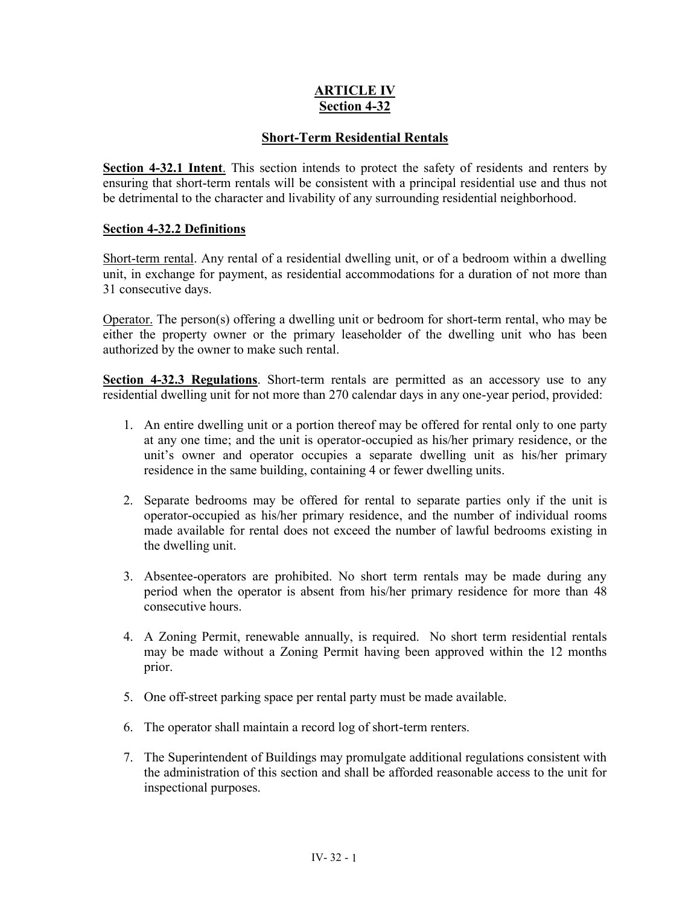## **ARTICLE IV Section 4-32**

## **Short-Term Residential Rentals**

**Section 4-32.1 Intent**. This section intends to protect the safety of residents and renters by ensuring that short-term rentals will be consistent with a principal residential use and thus not be detrimental to the character and livability of any surrounding residential neighborhood.

## **Section 4-32.2 Definitions**

Short-term rental. Any rental of a residential dwelling unit, or of a bedroom within a dwelling unit, in exchange for payment, as residential accommodations for a duration of not more than 31 consecutive days.

Operator. The person(s) offering a dwelling unit or bedroom for short-term rental, who may be either the property owner or the primary leaseholder of the dwelling unit who has been authorized by the owner to make such rental.

**Section 4-32.3 Regulations**. Short-term rentals are permitted as an accessory use to any residential dwelling unit for not more than 270 calendar days in any one-year period, provided:

- 1. An entire dwelling unit or a portion thereof may be offered for rental only to one party at any one time; and the unit is operator-occupied as his/her primary residence, or the unit's owner and operator occupies a separate dwelling unit as his/her primary residence in the same building, containing 4 or fewer dwelling units.
- 2. Separate bedrooms may be offered for rental to separate parties only if the unit is operator-occupied as his/her primary residence, and the number of individual rooms made available for rental does not exceed the number of lawful bedrooms existing in the dwelling unit.
- 3. Absentee-operators are prohibited. No short term rentals may be made during any period when the operator is absent from his/her primary residence for more than 48 consecutive hours.
- 4. A Zoning Permit, renewable annually, is required. No short term residential rentals may be made without a Zoning Permit having been approved within the 12 months prior.
- 5. One off-street parking space per rental party must be made available.
- 6. The operator shall maintain a record log of short-term renters.
- 7. The Superintendent of Buildings may promulgate additional regulations consistent with the administration of this section and shall be afforded reasonable access to the unit for inspectional purposes.